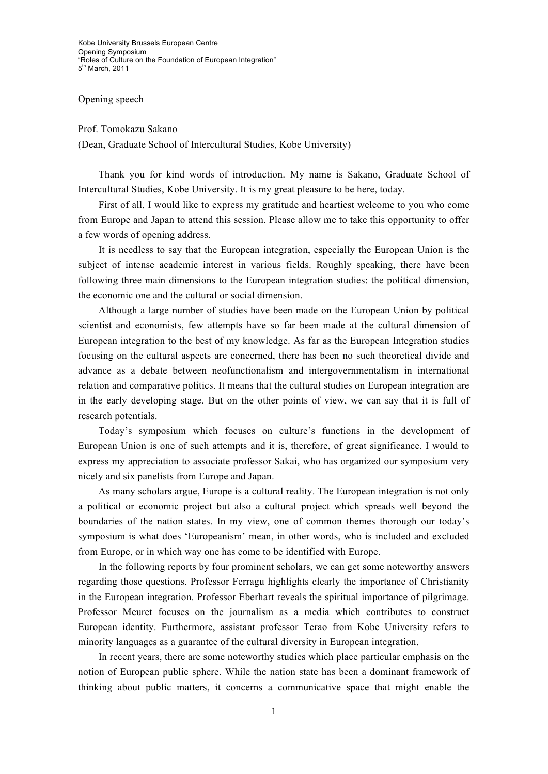Kobe University Brussels European Centre Opening Symposium "Roles of Culture on the Foundation of European Integration" 5<sup>th</sup> March, 2011

## Opening speech

Prof. Tomokazu Sakano

(Dean, Graduate School of Intercultural Studies, Kobe University)

Thank you for kind words of introduction. My name is Sakano, Graduate School of Intercultural Studies, Kobe University. It is my great pleasure to be here, today.

First of all, I would like to express my gratitude and heartiest welcome to you who come from Europe and Japan to attend this session. Please allow me to take this opportunity to offer a few words of opening address.

It is needless to say that the European integration, especially the European Union is the subject of intense academic interest in various fields. Roughly speaking, there have been following three main dimensions to the European integration studies: the political dimension, the economic one and the cultural or social dimension.

Although a large number of studies have been made on the European Union by political scientist and economists, few attempts have so far been made at the cultural dimension of European integration to the best of my knowledge. As far as the European Integration studies focusing on the cultural aspects are concerned, there has been no such theoretical divide and advance as a debate between neofunctionalism and intergovernmentalism in international relation and comparative politics. It means that the cultural studies on European integration are in the early developing stage. But on the other points of view, we can say that it is full of research potentials.

Today's symposium which focuses on culture's functions in the development of European Union is one of such attempts and it is, therefore, of great significance. I would to express my appreciation to associate professor Sakai, who has organized our symposium very nicely and six panelists from Europe and Japan.

As many scholars argue, Europe is a cultural reality. The European integration is not only a political or economic project but also a cultural project which spreads well beyond the boundaries of the nation states. In my view, one of common themes thorough our today's symposium is what does 'Europeanism' mean, in other words, who is included and excluded from Europe, or in which way one has come to be identified with Europe.

In the following reports by four prominent scholars, we can get some noteworthy answers regarding those questions. Professor Ferragu highlights clearly the importance of Christianity in the European integration. Professor Eberhart reveals the spiritual importance of pilgrimage. Professor Meuret focuses on the journalism as a media which contributes to construct European identity. Furthermore, assistant professor Terao from Kobe University refers to minority languages as a guarantee of the cultural diversity in European integration.

In recent years, there are some noteworthy studies which place particular emphasis on the notion of European public sphere. While the nation state has been a dominant framework of thinking about public matters, it concerns a communicative space that might enable the